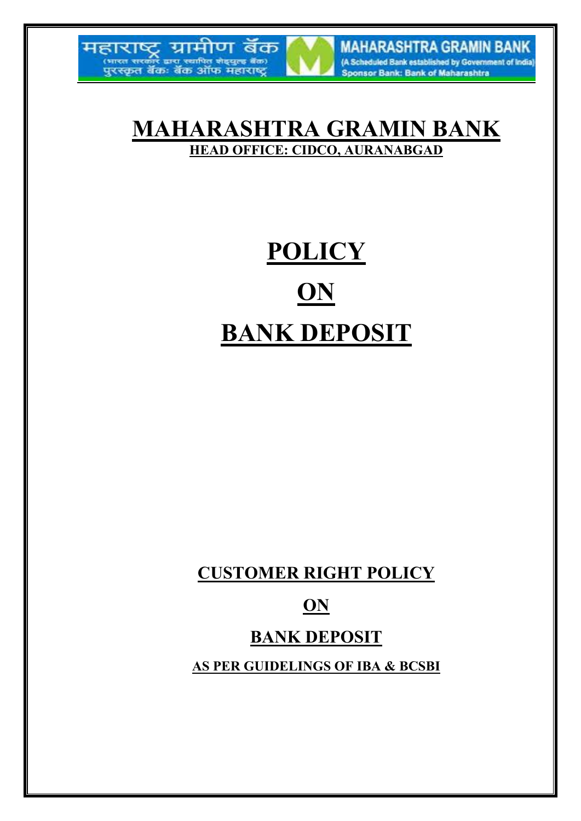



**MAHARASHTRA GRAMIN BANK** (A Scheduled Bank established by Government of India) Sponsor Bank: Bank of Maharashtra

# **MAHARASHTRA GRAMIN BANK HEAD OFFICE: CIDCO, AURANABGAD**

# **POLICY ON BANK DEPOSIT**

**CUSTOMER RIGHT POLICY** 

# **ON**

# **BANK DEPOSIT**

**AS PER GUIDELINGS OF IBA & BCSBI**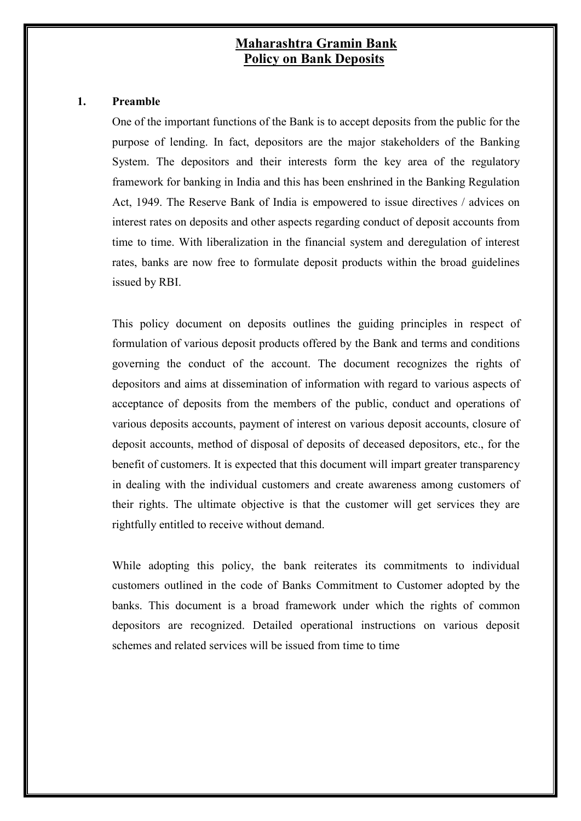# **Maharashtra Gramin Bank Policy on Bank Deposits**

### **1. Preamble**

One of the important functions of the Bank is to accept deposits from the public for the purpose of lending. In fact, depositors are the major stakeholders of the Banking System. The depositors and their interests form the key area of the regulatory framework for banking in India and this has been enshrined in the Banking Regulation Act, 1949. The Reserve Bank of India is empowered to issue directives / advices on interest rates on deposits and other aspects regarding conduct of deposit accounts from time to time. With liberalization in the financial system and deregulation of interest rates, banks are now free to formulate deposit products within the broad guidelines issued by RBI.

This policy document on deposits outlines the guiding principles in respect of formulation of various deposit products offered by the Bank and terms and conditions governing the conduct of the account. The document recognizes the rights of depositors and aims at dissemination of information with regard to various aspects of acceptance of deposits from the members of the public, conduct and operations of various deposits accounts, payment of interest on various deposit accounts, closure of deposit accounts, method of disposal of deposits of deceased depositors, etc., for the benefit of customers. It is expected that this document will impart greater transparency in dealing with the individual customers and create awareness among customers of their rights. The ultimate objective is that the customer will get services they are rightfully entitled to receive without demand.

While adopting this policy, the bank reiterates its commitments to individual customers outlined in the code of Banks Commitment to Customer adopted by the banks. This document is a broad framework under which the rights of common depositors are recognized. Detailed operational instructions on various deposit schemes and related services will be issued from time to time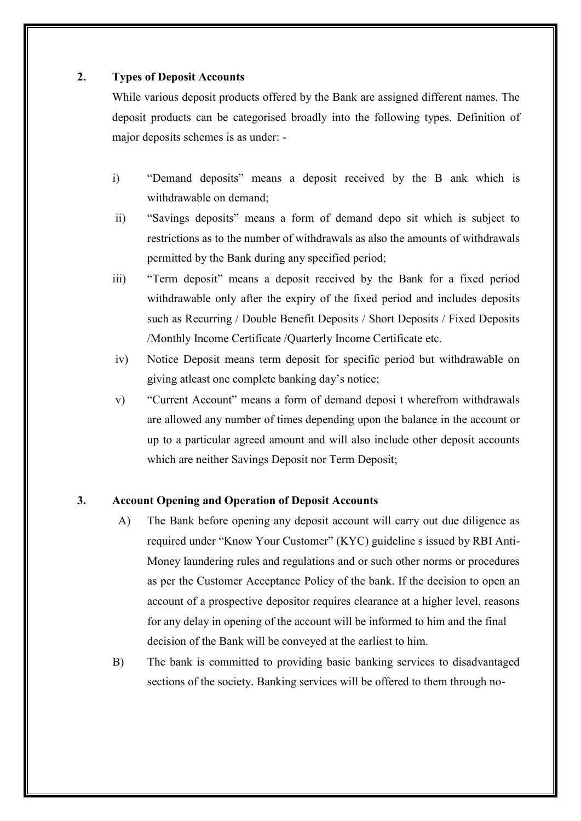#### **2. Types of Deposit Accounts**

While various deposit products offered by the Bank are assigned different names. The deposit products can be categorised broadly into the following types. Definition of major deposits schemes is as under: -

- i) "Demand deposits" means a deposit received by the B ank which is withdrawable on demand;
- ii) "Savings deposits" means a form of demand depo sit which is subject to restrictions as to the number of withdrawals as also the amounts of withdrawals permitted by the Bank during any specified period;
- iii) "Term deposit" means a deposit received by the Bank for a fixed period withdrawable only after the expiry of the fixed period and includes deposits such as Recurring / Double Benefit Deposits / Short Deposits / Fixed Deposits /Monthly Income Certificate /Quarterly Income Certificate etc.
- iv) Notice Deposit means term deposit for specific period but withdrawable on giving atleast one complete banking day's notice;
- v) "Current Account" means a form of demand deposi t wherefrom withdrawals are allowed any number of times depending upon the balance in the account or up to a particular agreed amount and will also include other deposit accounts which are neither Savings Deposit nor Term Deposit;

# **3. Account Opening and Operation of Deposit Accounts**

- A) The Bank before opening any deposit account will carry out due diligence as required under "Know Your Customer" (KYC) guideline s issued by RBI Anti-Money laundering rules and regulations and or such other norms or procedures as per the Customer Acceptance Policy of the bank. If the decision to open an account of a prospective depositor requires clearance at a higher level, reasons for any delay in opening of the account will be informed to him and the final decision of the Bank will be conveyed at the earliest to him.
- B) The bank is committed to providing basic banking services to disadvantaged sections of the society. Banking services will be offered to them through no-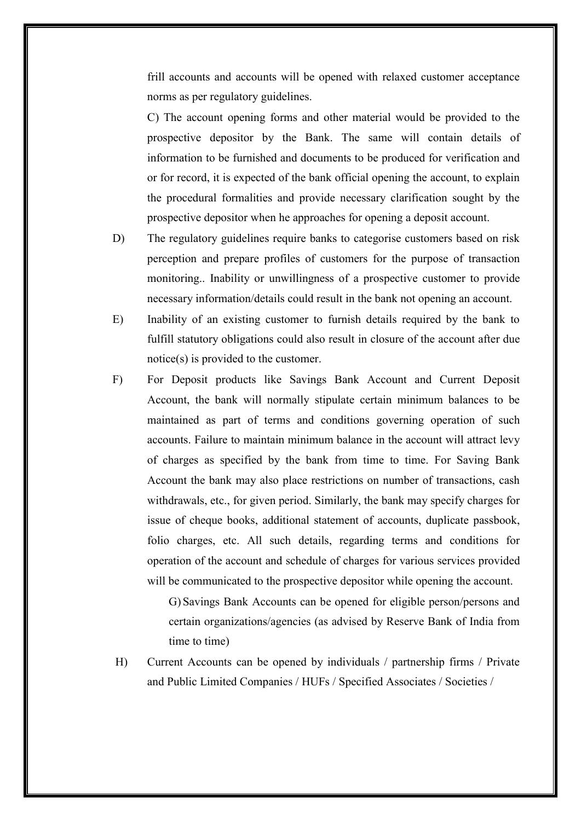frill accounts and accounts will be opened with relaxed customer acceptance norms as per regulatory guidelines.

C) The account opening forms and other material would be provided to the prospective depositor by the Bank. The same will contain details of information to be furnished and documents to be produced for verification and or for record, it is expected of the bank official opening the account, to explain the procedural formalities and provide necessary clarification sought by the prospective depositor when he approaches for opening a deposit account.

- D) The regulatory guidelines require banks to categorise customers based on risk perception and prepare profiles of customers for the purpose of transaction monitoring.. Inability or unwillingness of a prospective customer to provide necessary information/details could result in the bank not opening an account.
- E) Inability of an existing customer to furnish details required by the bank to fulfill statutory obligations could also result in closure of the account after due notice(s) is provided to the customer.
- F) For Deposit products like Savings Bank Account and Current Deposit Account, the bank will normally stipulate certain minimum balances to be maintained as part of terms and conditions governing operation of such accounts. Failure to maintain minimum balance in the account will attract levy of charges as specified by the bank from time to time. For Saving Bank Account the bank may also place restrictions on number of transactions, cash withdrawals, etc., for given period. Similarly, the bank may specify charges for issue of cheque books, additional statement of accounts, duplicate passbook, folio charges, etc. All such details, regarding terms and conditions for operation of the account and schedule of charges for various services provided will be communicated to the prospective depositor while opening the account.

G) Savings Bank Accounts can be opened for eligible person/persons and certain organizations/agencies (as advised by Reserve Bank of India from time to time)

H) Current Accounts can be opened by individuals / partnership firms / Private and Public Limited Companies / HUFs / Specified Associates / Societies /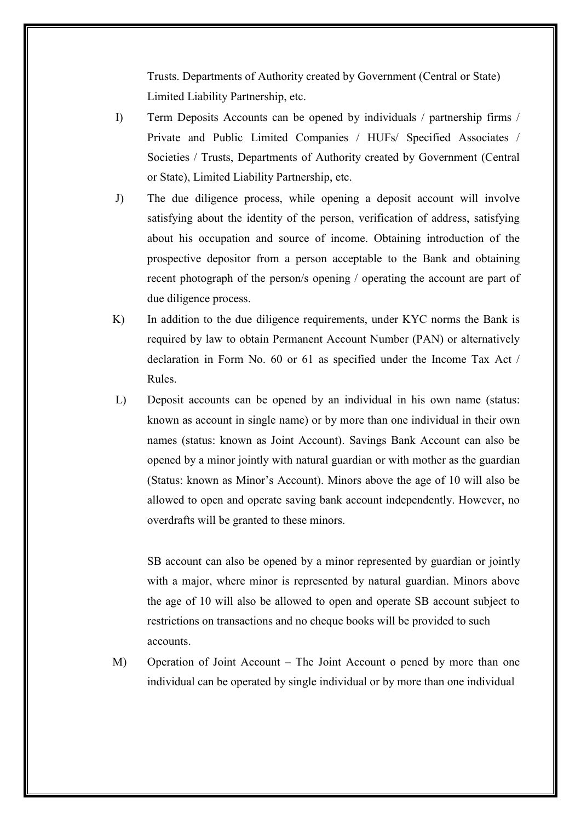Trusts. Departments of Authority created by Government (Central or State) Limited Liability Partnership, etc.

- I) Term Deposits Accounts can be opened by individuals / partnership firms / Private and Public Limited Companies / HUFs/ Specified Associates / Societies / Trusts, Departments of Authority created by Government (Central or State), Limited Liability Partnership, etc.
- J) The due diligence process, while opening a deposit account will involve satisfying about the identity of the person, verification of address, satisfying about his occupation and source of income. Obtaining introduction of the prospective depositor from a person acceptable to the Bank and obtaining recent photograph of the person/s opening / operating the account are part of due diligence process.
- K) In addition to the due diligence requirements, under KYC norms the Bank is required by law to obtain Permanent Account Number (PAN) or alternatively declaration in Form No. 60 or 61 as specified under the Income Tax Act / Rules.
- L) Deposit accounts can be opened by an individual in his own name (status: known as account in single name) or by more than one individual in their own names (status: known as Joint Account). Savings Bank Account can also be opened by a minor jointly with natural guardian or with mother as the guardian (Status: known as Minor's Account). Minors above the age of 10 will also be allowed to open and operate saving bank account independently. However, no overdrafts will be granted to these minors.

SB account can also be opened by a minor represented by guardian or jointly with a major, where minor is represented by natural guardian. Minors above the age of 10 will also be allowed to open and operate SB account subject to restrictions on transactions and no cheque books will be provided to such accounts.

M) Operation of Joint Account – The Joint Account o pened by more than one individual can be operated by single individual or by more than one individual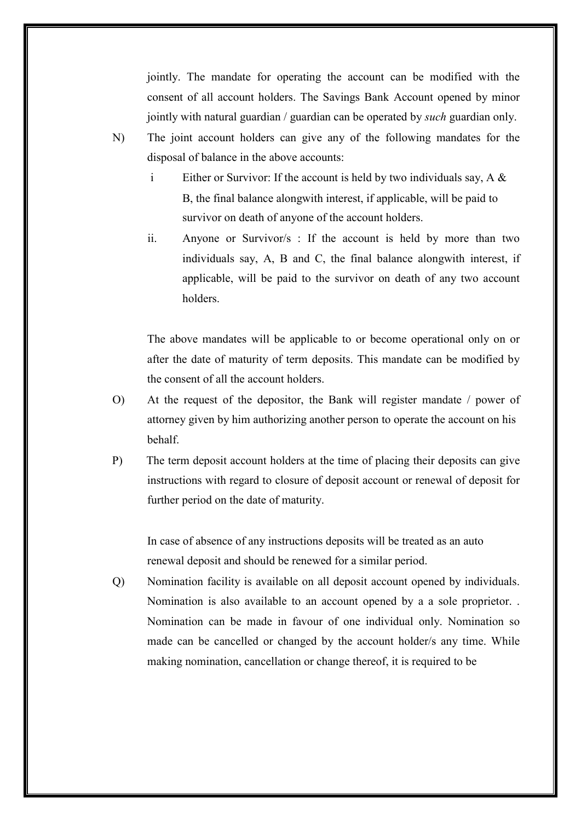jointly. The mandate for operating the account can be modified with the consent of all account holders. The Savings Bank Account opened by minor jointly with natural guardian / guardian can be operated by *such* guardian only.

- N) The joint account holders can give any of the following mandates for the disposal of balance in the above accounts:
	- i Either or Survivor: If the account is held by two individuals say, A & B, the final balance alongwith interest, if applicable, will be paid to survivor on death of anyone of the account holders.
	- ii. Anyone or Survivor/s : If the account is held by more than two individuals say, A, B and C, the final balance alongwith interest, if applicable, will be paid to the survivor on death of any two account holders.

The above mandates will be applicable to or become operational only on or after the date of maturity of term deposits. This mandate can be modified by the consent of all the account holders.

- O) At the request of the depositor, the Bank will register mandate / power of attorney given by him authorizing another person to operate the account on his behalf.
- P) The term deposit account holders at the time of placing their deposits can give instructions with regard to closure of deposit account or renewal of deposit for further period on the date of maturity.

In case of absence of any instructions deposits will be treated as an auto renewal deposit and should be renewed for a similar period.

Q) Nomination facility is available on all deposit account opened by individuals. Nomination is also available to an account opened by a a sole proprietor. . Nomination can be made in favour of one individual only. Nomination so made can be cancelled or changed by the account holder/s any time. While making nomination, cancellation or change thereof, it is required to be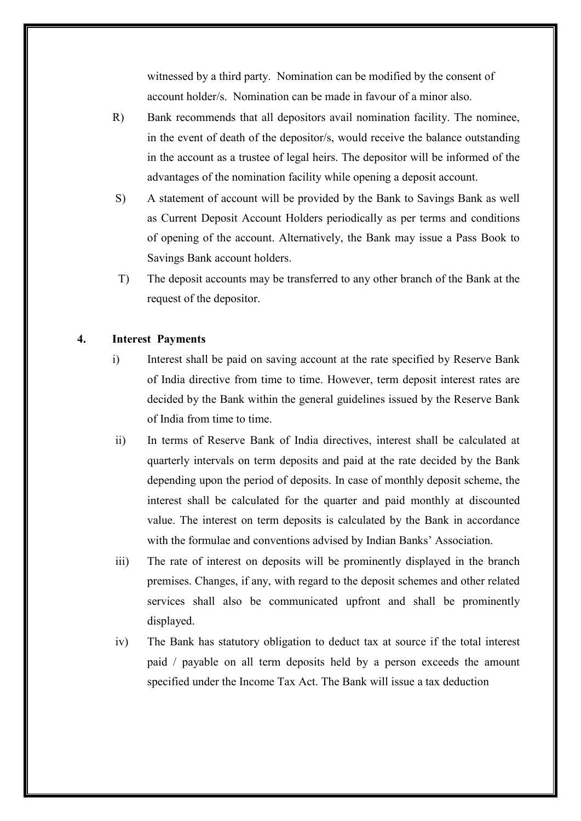witnessed by a third party. Nomination can be modified by the consent of account holder/s. Nomination can be made in favour of a minor also.

- R) Bank recommends that all depositors avail nomination facility. The nominee, in the event of death of the depositor/s, would receive the balance outstanding in the account as a trustee of legal heirs. The depositor will be informed of the advantages of the nomination facility while opening a deposit account.
- S) A statement of account will be provided by the Bank to Savings Bank as well as Current Deposit Account Holders periodically as per terms and conditions of opening of the account. Alternatively, the Bank may issue a Pass Book to Savings Bank account holders.
- T) The deposit accounts may be transferred to any other branch of the Bank at the request of the depositor.

## **4. Interest Payments**

- i) Interest shall be paid on saving account at the rate specified by Reserve Bank of India directive from time to time. However, term deposit interest rates are decided by the Bank within the general guidelines issued by the Reserve Bank of India from time to time.
- ii) In terms of Reserve Bank of India directives, interest shall be calculated at quarterly intervals on term deposits and paid at the rate decided by the Bank depending upon the period of deposits. In case of monthly deposit scheme, the interest shall be calculated for the quarter and paid monthly at discounted value. The interest on term deposits is calculated by the Bank in accordance with the formulae and conventions advised by Indian Banks' Association.
- iii) The rate of interest on deposits will be prominently displayed in the branch premises. Changes, if any, with regard to the deposit schemes and other related services shall also be communicated upfront and shall be prominently displayed.
- iv) The Bank has statutory obligation to deduct tax at source if the total interest paid / payable on all term deposits held by a person exceeds the amount specified under the Income Tax Act. The Bank will issue a tax deduction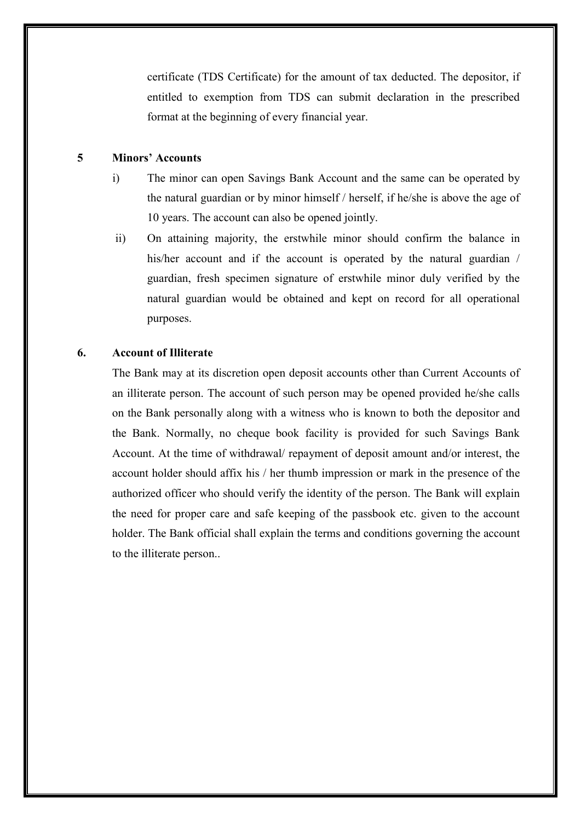certificate (TDS Certificate) for the amount of tax deducted. The depositor, if entitled to exemption from TDS can submit declaration in the prescribed format at the beginning of every financial year.

# **5 Minors' Accounts**

- i) The minor can open Savings Bank Account and the same can be operated by the natural guardian or by minor himself / herself, if he/she is above the age of 10 years. The account can also be opened jointly.
- ii) On attaining majority, the erstwhile minor should confirm the balance in his/her account and if the account is operated by the natural guardian / guardian, fresh specimen signature of erstwhile minor duly verified by the natural guardian would be obtained and kept on record for all operational purposes.

#### **6. Account of Illiterate**

The Bank may at its discretion open deposit accounts other than Current Accounts of an illiterate person. The account of such person may be opened provided he/she calls on the Bank personally along with a witness who is known to both the depositor and the Bank. Normally, no cheque book facility is provided for such Savings Bank Account. At the time of withdrawal/ repayment of deposit amount and/or interest, the account holder should affix his / her thumb impression or mark in the presence of the authorized officer who should verify the identity of the person. The Bank will explain the need for proper care and safe keeping of the passbook etc. given to the account holder. The Bank official shall explain the terms and conditions governing the account to the illiterate person..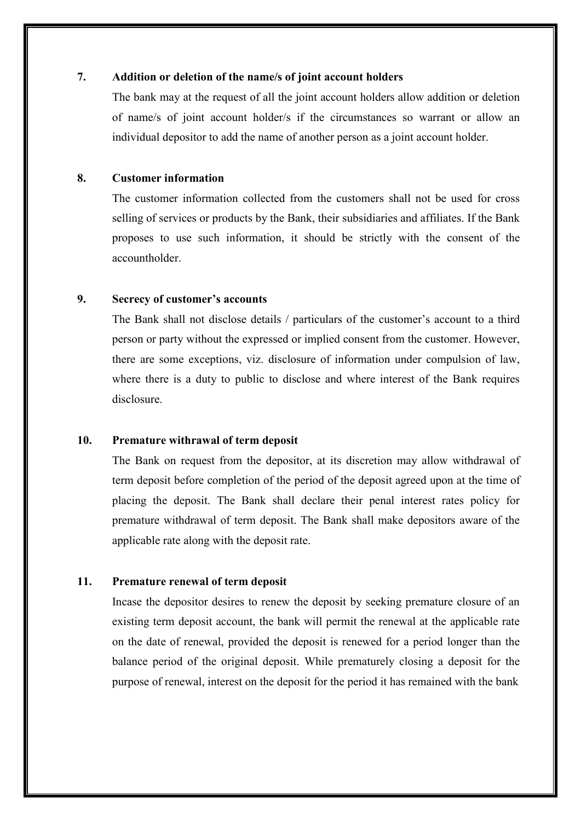#### **7. Addition or deletion of the name/s of joint account holders**

The bank may at the request of all the joint account holders allow addition or deletion of name/s of joint account holder/s if the circumstances so warrant or allow an individual depositor to add the name of another person as a joint account holder.

#### **8. Customer information**

The customer information collected from the customers shall not be used for cross selling of services or products by the Bank, their subsidiaries and affiliates. If the Bank proposes to use such information, it should be strictly with the consent of the accountholder.

#### **9. Secrecy of customer's accounts**

The Bank shall not disclose details / particulars of the customer's account to a third person or party without the expressed or implied consent from the customer. However, there are some exceptions, viz. disclosure of information under compulsion of law, where there is a duty to public to disclose and where interest of the Bank requires disclosure.

#### **10. Premature withrawal of term deposit**

The Bank on request from the depositor, at its discretion may allow withdrawal of term deposit before completion of the period of the deposit agreed upon at the time of placing the deposit. The Bank shall declare their penal interest rates policy for premature withdrawal of term deposit. The Bank shall make depositors aware of the applicable rate along with the deposit rate.

### **11. Premature renewal of term deposit**

Incase the depositor desires to renew the deposit by seeking premature closure of an existing term deposit account, the bank will permit the renewal at the applicable rate on the date of renewal, provided the deposit is renewed for a period longer than the balance period of the original deposit. While prematurely closing a deposit for the purpose of renewal, interest on the deposit for the period it has remained with the bank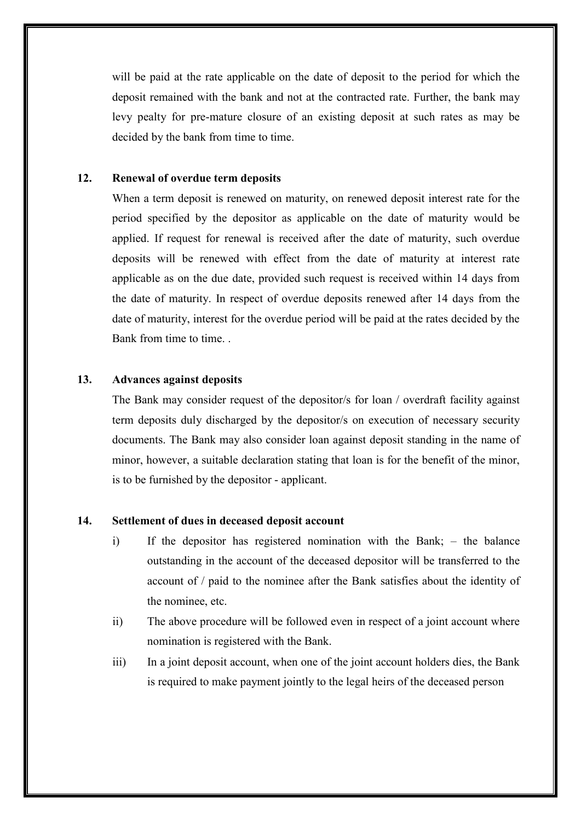will be paid at the rate applicable on the date of deposit to the period for which the deposit remained with the bank and not at the contracted rate. Further, the bank may levy pealty for pre-mature closure of an existing deposit at such rates as may be decided by the bank from time to time.

#### **12. Renewal of overdue term deposits**

When a term deposit is renewed on maturity, on renewed deposit interest rate for the period specified by the depositor as applicable on the date of maturity would be applied. If request for renewal is received after the date of maturity, such overdue deposits will be renewed with effect from the date of maturity at interest rate applicable as on the due date, provided such request is received within 14 days from the date of maturity. In respect of overdue deposits renewed after 14 days from the date of maturity, interest for the overdue period will be paid at the rates decided by the Bank from time to time.

## **13. Advances against deposits**

The Bank may consider request of the depositor/s for loan / overdraft facility against term deposits duly discharged by the depositor/s on execution of necessary security documents. The Bank may also consider loan against deposit standing in the name of minor, however, a suitable declaration stating that loan is for the benefit of the minor, is to be furnished by the depositor - applicant.

#### **14. Settlement of dues in deceased deposit account**

- i) If the depositor has registered nomination with the Bank; the balance outstanding in the account of the deceased depositor will be transferred to the account of / paid to the nominee after the Bank satisfies about the identity of the nominee, etc.
- ii) The above procedure will be followed even in respect of a joint account where nomination is registered with the Bank.
- iii) In a joint deposit account, when one of the joint account holders dies, the Bank is required to make payment jointly to the legal heirs of the deceased person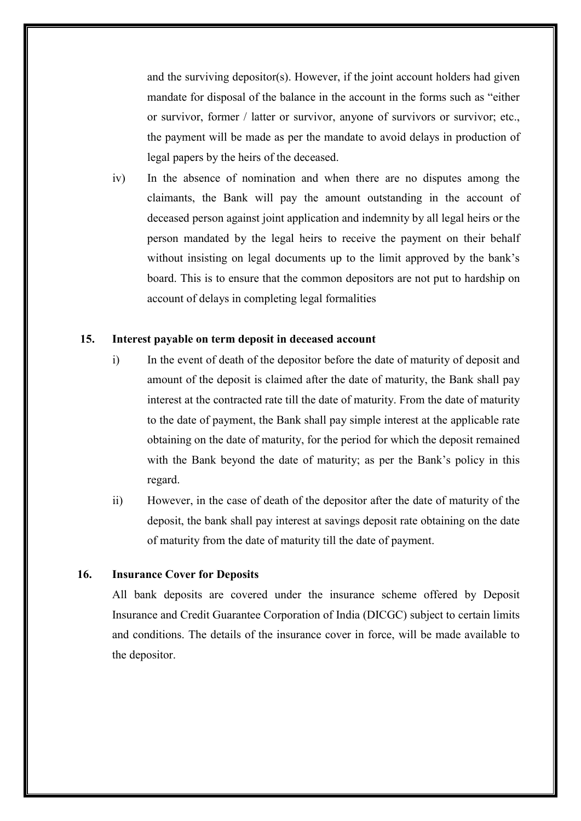and the surviving depositor(s). However, if the joint account holders had given mandate for disposal of the balance in the account in the forms such as "either or survivor, former / latter or survivor, anyone of survivors or survivor; etc., the payment will be made as per the mandate to avoid delays in production of legal papers by the heirs of the deceased.

iv) In the absence of nomination and when there are no disputes among the claimants, the Bank will pay the amount outstanding in the account of deceased person against joint application and indemnity by all legal heirs or the person mandated by the legal heirs to receive the payment on their behalf without insisting on legal documents up to the limit approved by the bank's board. This is to ensure that the common depositors are not put to hardship on account of delays in completing legal formalities

## **15. Interest payable on term deposit in deceased account**

- i) In the event of death of the depositor before the date of maturity of deposit and amount of the deposit is claimed after the date of maturity, the Bank shall pay interest at the contracted rate till the date of maturity. From the date of maturity to the date of payment, the Bank shall pay simple interest at the applicable rate obtaining on the date of maturity, for the period for which the deposit remained with the Bank beyond the date of maturity; as per the Bank's policy in this regard.
- ii) However, in the case of death of the depositor after the date of maturity of the deposit, the bank shall pay interest at savings deposit rate obtaining on the date of maturity from the date of maturity till the date of payment.

# **16. Insurance Cover for Deposits**

All bank deposits are covered under the insurance scheme offered by Deposit Insurance and Credit Guarantee Corporation of India (DICGC) subject to certain limits and conditions. The details of the insurance cover in force, will be made available to the depositor.